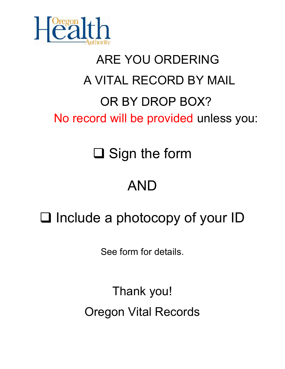

# ARE YOU ORDERING A VITAL RECORD BY MAIL OR BY DROP BOX? No record will be provided unless you:

**□ Sign the form** 

### AND

## $\Box$  Include a photocopy of your ID

See form for details.

Thank you! Oregon Vital Records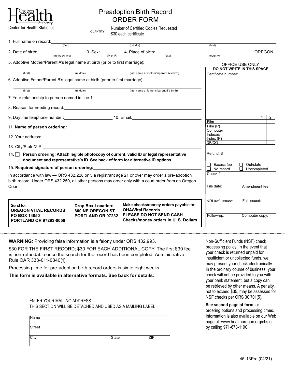

### Preadoption Birth Record ORDER FORM

Center for Health Statistics Number of Certified Copies Requested \$30 each certificate **QUANTITY** 

| 1. Full name on record: $\frac{1}{(first)}$                                                                                            |                           |                                                                                                                                                                                                                                |                                     |                                   |
|----------------------------------------------------------------------------------------------------------------------------------------|---------------------------|--------------------------------------------------------------------------------------------------------------------------------------------------------------------------------------------------------------------------------|-------------------------------------|-----------------------------------|
|                                                                                                                                        |                           | (middle)                                                                                                                                                                                                                       | (last)                              |                                   |
| 2. Date of birth: $\frac{(mm/dd/vv-v)}{(mm/dd/vv-v)}$ 3. Sex: $\frac{1}{(M \text{ or } F)}$ 4. Place of birth: $\frac{(city)}{(city)}$ |                           |                                                                                                                                                                                                                                |                                     | <b>OREGON</b>                     |
|                                                                                                                                        |                           |                                                                                                                                                                                                                                | (county)                            |                                   |
| 5. Adoptive Mother/Parent A's legal name at birth (prior to first marriage):                                                           |                           |                                                                                                                                                                                                                                |                                     | OFFICE USE ONLY                   |
|                                                                                                                                        |                           |                                                                                                                                                                                                                                |                                     | <b>DO NOT WRITE IN THIS SPACE</b> |
| (first)                                                                                                                                | (middle)                  | (last name at mother's/parent A's birth)                                                                                                                                                                                       | Certificate number:                 |                                   |
| 6. Adoptive Father/Parent B's legal name at birth (prior to first marriage):                                                           |                           |                                                                                                                                                                                                                                |                                     |                                   |
|                                                                                                                                        |                           |                                                                                                                                                                                                                                |                                     |                                   |
| (first)                                                                                                                                | (middle)                  | (last name at father's/parent B's birth)                                                                                                                                                                                       |                                     |                                   |
|                                                                                                                                        |                           | 7. Your relationship to person named in line 1: ________________________________                                                                                                                                               |                                     |                                   |
|                                                                                                                                        |                           |                                                                                                                                                                                                                                |                                     |                                   |
|                                                                                                                                        |                           |                                                                                                                                                                                                                                |                                     |                                   |
|                                                                                                                                        |                           |                                                                                                                                                                                                                                |                                     | $1 \mid 2$                        |
|                                                                                                                                        |                           |                                                                                                                                                                                                                                | Film                                |                                   |
|                                                                                                                                        |                           | 11. Name of person ordering: example and a series of the series of the series of the series of the series of the series of the series of the series of the series of the series of the series of the series of the series of t | Film (P)                            |                                   |
|                                                                                                                                        |                           |                                                                                                                                                                                                                                | <b>Computer Computer</b><br>Indexes |                                   |
|                                                                                                                                        |                           |                                                                                                                                                                                                                                | Index(P)                            |                                   |
|                                                                                                                                        |                           |                                                                                                                                                                                                                                | DF/CO                               |                                   |
|                                                                                                                                        |                           |                                                                                                                                                                                                                                |                                     |                                   |
| 14. Person ordering: Attach legible photocopy of current, valid ID or legal representative                                             | Refund: \$                |                                                                                                                                                                                                                                |                                     |                                   |
|                                                                                                                                        |                           | document and representative's ID. See back of form for alternative ID options.                                                                                                                                                 | Excess fee                          | Out/state<br>❏                    |
|                                                                                                                                        |                           |                                                                                                                                                                                                                                | $\Box$<br>No record                 | $\Box$<br>Uncompleted             |
| In accordance with law - ORS 432.228 only a registrant age 21 or over may order a pre-adoption                                         |                           |                                                                                                                                                                                                                                | Check #:                            |                                   |
|                                                                                                                                        |                           | birth record. Under ORS 432.250, all other persons may order only with a court order from an Oregon                                                                                                                            |                                     |                                   |
| Court.                                                                                                                                 |                           |                                                                                                                                                                                                                                | File date:                          | Amendment fee:                    |
|                                                                                                                                        |                           |                                                                                                                                                                                                                                |                                     |                                   |
|                                                                                                                                        |                           |                                                                                                                                                                                                                                |                                     |                                   |
| Send to:                                                                                                                               | <b>Drop Box Location:</b> | Make checks/money orders payable to:                                                                                                                                                                                           | NRL/ref. issued:                    | Full issued:                      |
| <b>OREGON VITAL RECORDS</b>                                                                                                            | 800 NE OREGON ST          | <b>OHA/Vital Records</b>                                                                                                                                                                                                       |                                     |                                   |
| <b>PO BOX 14050</b>                                                                                                                    | PORTLAND OR 97232         | PLEASE DO NOT SEND CASH                                                                                                                                                                                                        | Follow-up:                          | Computer copy:                    |
| <b>PORTLAND OR 97293-0050</b>                                                                                                          |                           | Checks/money orders in U.S. Dollars                                                                                                                                                                                            |                                     |                                   |
|                                                                                                                                        |                           |                                                                                                                                                                                                                                |                                     |                                   |

**WARNING:** Providing false information is a felony under ORS 432.993.

\$30 FOR THE FIRST RECORD; \$30 FOR EACH ADDITIONAL COPY. The first \$30 fee is non-refundable once the search for the record has been completed. Administrative Rule OAR 333-011-0340(1).

Processing time for pre-adoption birth record orders is six to eight weeks.

**This form is available in alternative formats. See back for details.**

#### ENTER YOUR MAILING ADDRESS THIS SECTION WILL BE DETACHED AND USED AS A MAILING LABEL

| Name   |       |            |
|--------|-------|------------|
| Street |       |            |
| City   | State | <b>ZIP</b> |

Non-Sufficient Funds (NSF) check processing policy: In the event that your check is returned unpaid for insufficient or uncollected funds, we may present your check electronically. In the ordinary course of business, your check will not be provided to you with your bank statement, but a copy can be retrieved by other means. A penalty, not to exceed \$35, may be assessed for NSF checks per ORS 30.701(5).

**See second page of form** for ordering options and processing times. Information is also available on our Web page at: www.healthoregon.org/chs or by calling 971-673-1190.